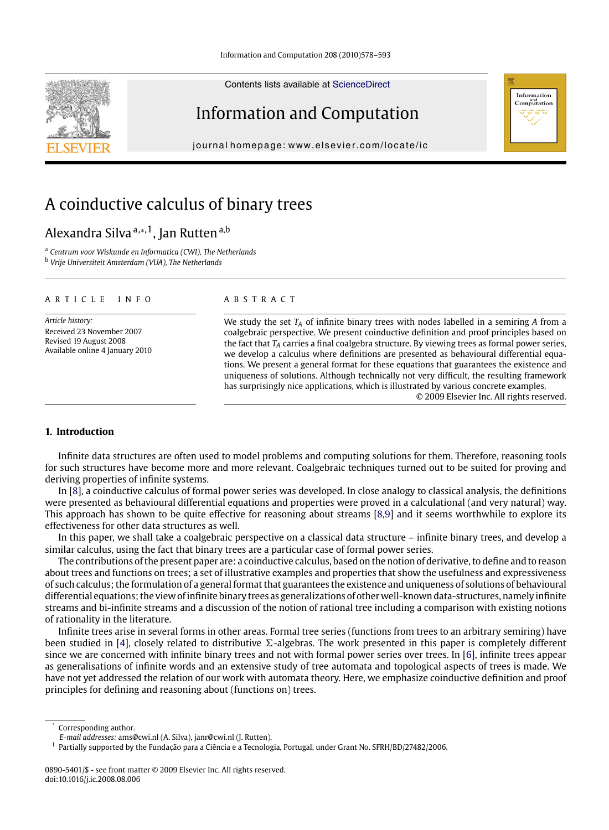Contents lists available at [ScienceDirect](http://www.sciencedirect.com/science/journal/08905401)

## Information and Computation

journal homepage: [www.elsevier.com/locate/ic](http://www.elsevier.com/locate/ic)

# A coinductive calculus of binary trees

## Alexandra Silva <sup>a,∗,1</sup>, Jan Rutten <sup>a,b</sup>

<sup>a</sup> *Centrum voor Wiskunde en Informatica (CWI), The Netherlands* <sup>b</sup> *Vrije Universiteit Amsterdam (VUA), The Netherlands*

#### ARTICLE INFO ABSTRACT

*Article history:* Received 23 November 2007 Revised 19 August 2008 Available online 4 January 2010

We study the set *TA* of infinite binary trees with nodes labelled in a semiring *A* from a coalgebraic perspective. We present coinductive definition and proof principles based on the fact that *TA* carries a final coalgebra structure. By viewing trees as formal power series, we develop a calculus where definitions are presented as behavioural differential equations. We present a general format for these equations that guarantees the existence and uniqueness of solutions. Although technically not very difficult, the resulting framework has surprisingly nice applications, which is illustrated by various concrete examples. © 2009 Elsevier Inc. All rights reserved.

Information Computation

### **1. Introduction**

Infinite data structures are often used to model problems and computing solutions for them. Therefore, reasoning tools for such structures have become more and more relevant. Coalgebraic techniques turned out to be suited for proving and deriving properties of infinite systems.

In [\[8\]](#page-15-0), a coinductive calculus of formal power series was developed. In close analogy to classical analysis, the definitions were presented as behavioural differential equations and properties were proved in a calculational (and very natural) way. This approach has shown to be quite effective for reasoning about streams [\[8,9\]](#page-15-0) and it seems worthwhile to explore its effectiveness for other data structures as well.

In this paper, we shall take a coalgebraic perspective on a classical data structure – infinite binary trees, and develop a similar calculus, using the fact that binary trees are a particular case of formal power series.

The contributions of the present paper are: a coinductive calculus, based on the notion of derivative, to define and to reason about trees and functions on trees; a set of illustrative examples and properties that show the usefulness and expressiveness of such calculus; the formulation of a general format that guarantees the existence and uniqueness of solutions of behavioural differential equations; the view of infinite binary trees as generalizations of other well-known data-structures, namely infinite streams and bi-infinite streams and a discussion of the notion of rational tree including a comparison with existing notions of rationality in the literature.

Infinite trees arise in several forms in other areas. Formal tree series (functions from trees to an arbitrary semiring) have been studied in [\[4\]](#page-15-0), closely related to distributive  $\Sigma$ -algebras. The work presented in this paper is completely different since we are concerned with infinite binary trees and not with formal power series over trees. In [\[6\]](#page-15-0), infinite trees appear as generalisations of infinite words and an extensive study of tree automata and topological aspects of trees is made. We have not yet addressed the relation of our work with automata theory. Here, we emphasize coinductive definition and proof principles for defining and reasoning about (functions on) trees.



<sup>∗</sup> Corresponding author.

*E-mail addresses:* ams@cwi.nl (A. Silva), janr@cwi.nl (J. Rutten).

 $1$  Partially supported by the Fundação para a Ciência e a Tecnologia, Portugal, under Grant No. SFRH/BD/27482/2006.

<sup>0890-5401/\$ -</sup> see front matter © 2009 Elsevier Inc. All rights reserved. doi:10.1016/j.ic.2008.08.006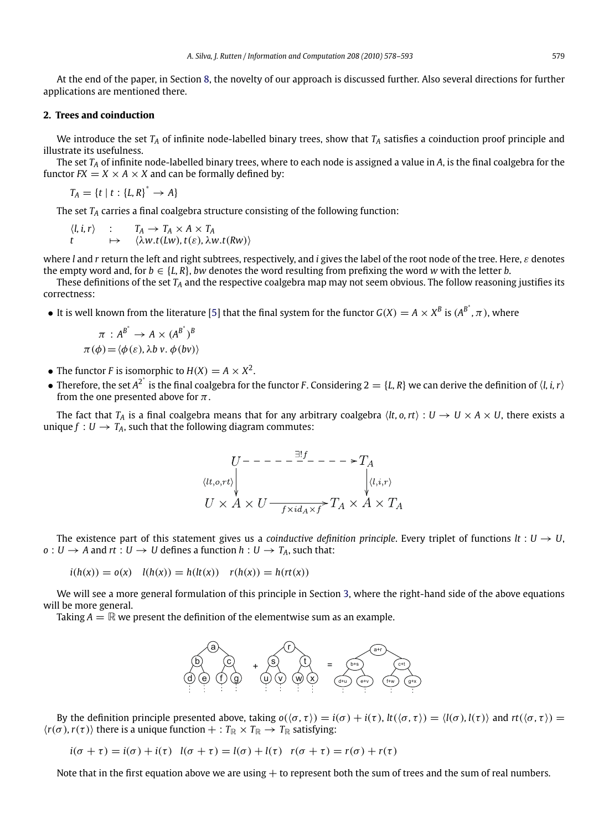<span id="page-1-0"></span>At the end of the paper, in Section [8,](#page-15-0) the novelty of our approach is discussed further. Also several directions for further applications are mentioned there.

#### **2. Trees and coinduction**

We introduce the set  $T_A$  of infinite node-labelled binary trees, show that  $T_A$  satisfies a coinduction proof principle and illustrate its usefulness.

The set *TA* of infinite node-labelled binary trees, where to each node is assigned a value in *A*, is the final coalgebra for the functor  $FX = X \times A \times X$  and can be formally defined by:

 $T_A = \{t \mid t : \{L, R\}^* \to A\}$ 

The set *TA* carries a final coalgebra structure consisting of the following function:

 $\langle l, i, r \rangle$  :  $T_A \rightarrow T_A \times A \times T_A$ *t*  $\mapsto \langle \lambda w.t(Lw), t(\varepsilon), \lambda w.t(Rw) \rangle$ 

where *l* and *r* return the left and right subtrees, respectively, and *i* gives the label of the root node of the tree. Here, ε denotes the empty word and, for  $b \in \{L, R\}$ , *bw* denotes the word resulting from prefixing the word *w* with the letter *b*.

These definitions of the set  $T_A$  and the respective coalgebra map may not seem obvious. The follow reasoning justifies its correctness:

• It is well known from the literature [\[5\]](#page-15-0) that the final system for the functor  $G(X) = A \times X^B$  is  $(A^{B^*}, \pi)$ , where

$$
\pi : A^{B^*} \to A \times (A^{B^*})^B
$$
  

$$
\pi(\phi) = \langle \phi(\varepsilon), \lambda b \, v, \phi(bv) \rangle
$$

- The functor *F* is isomorphic to  $H(X) = A \times X^2$ .
- Therefore, the set  $A^{2^*}$  is the final coalgebra for the functor *F*. Considering  $2 = \{L, R\}$  we can derive the definition of  $\langle l, i, r \rangle$ from the one presented above for  $\pi$ .

The fact that  $T_A$  is a final coalgebra means that for any arbitrary coalgebra  $\langle lt, o, rt \rangle : U \to U \times A \times U$ , there exists a unique  $f: U \rightarrow T_A$ , such that the following diagram commutes:

$$
U^{---} - \frac{\exists! f^{+} - - - \geq T_{A}}{\n\downarrow \text{(i,i,r)}}
$$
\n
$$
U \times A \times U \xrightarrow{f \times id_{A} \times f} T_{A} \times A \times T_{A}
$$

The existence part of this statement gives us a *coinductive definition principle*. Every triplet of functions  $lt: U \rightarrow U$ ,  $o: U \rightarrow A$  and  $rt: U \rightarrow U$  defines a function  $h: U \rightarrow T_A$ , such that:

$$
i(h(x)) = o(x)
$$
  $l(h(x)) = h(lt(x))$   $r(h(x)) = h(rt(x))$ 

We will see a more general formulation of this principle in Section [3,](#page-3-0) where the right-hand side of the above equations will be more general.

Taking  $A = \mathbb{R}$  we present the definition of the elementwise sum as an example.



By the definition principle presented above, taking  $o(\langle σ, τ \rangle) = i(σ) + i(τ), lt(\langle σ, τ \rangle) = \langle l(σ), l(τ) \rangle$  and  $rt(\langle σ, τ \rangle) =$  $\langle r(\sigma), r(\tau) \rangle$  there is a unique function  $+ : T_{\mathbb{R}} \times T_{\mathbb{R}} \to T_{\mathbb{R}}$  satisfying:

 $i(\sigma + \tau) = i(\sigma) + i(\tau)$   $l(\sigma + \tau) = l(\sigma) + l(\tau)$   $r(\sigma + \tau) = r(\sigma) + r(\tau)$ 

Note that in the first equation above we are using  $+$  to represent both the sum of trees and the sum of real numbers.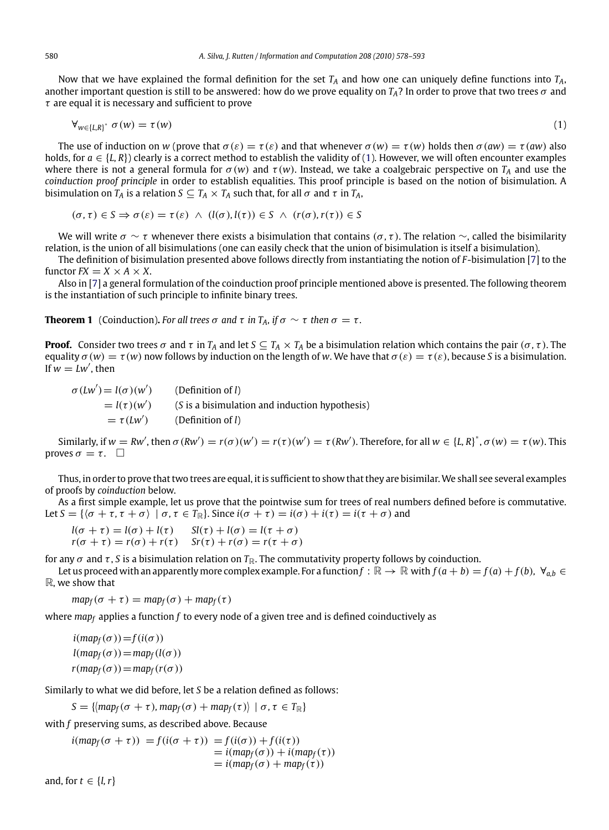<span id="page-2-0"></span>Now that we have explained the formal definition for the set *TA* and how one can uniquely define functions into *TA*, another important question is still to be answered: how do we prove equality on  $T_A$ ? In order to prove that two trees  $\sigma$  and  $\tau$  are equal it is necessary and sufficient to prove

$$
\forall_{w \in \{L,R\}^*} \sigma(w) = \tau(w) \tag{1}
$$

The use of induction on *w* (prove that  $\sigma(\varepsilon) = \tau(\varepsilon)$  and that whenever  $\sigma(w) = \tau(w)$  holds then  $\sigma(aw) = \tau(aw)$  also holds, for  $a \in \{L, R\}$  clearly is a correct method to establish the validity of (1). However, we will often encounter examples where there is not a general formula for  $\sigma(w)$  and  $\tau(w)$ . Instead, we take a coalgebraic perspective on  $T_A$  and use the *coinduction proof principle* in order to establish equalities. This proof principle is based on the notion of bisimulation. A bisimulation on  $T_A$  is a relation  $S \subseteq T_A \times T_A$  such that, for all  $\sigma$  and  $\tau$  in  $T_A$ ,

$$
(\sigma, \tau) \in S \Rightarrow \sigma(\varepsilon) = \tau(\varepsilon) \ \wedge \ (l(\sigma), l(\tau)) \in S \ \wedge \ (r(\sigma), r(\tau)) \in S
$$

We will write σ ∼ τ whenever there exists a bisimulation that contains (σ, τ). The relation ∼, called the bisimilarity relation, is the union of all bisimulations (one can easily check that the union of bisimulation is itself a bisimulation).

The definition of bisimulation presented above follows directly from instantiating the notion of *F*-bisimulation [\[7\]](#page-15-0) to the functor  $FX = X \times A \times X$ .

Also in [\[7\]](#page-15-0) a general formulation of the coinduction proof principle mentioned above is presented. The following theorem is the instantiation of such principle to infinite binary trees.

**Theorem 1** (Coinduction). For all trees  $\sigma$  and  $\tau$  *in*  $T_A$ , *if*  $\sigma \sim \tau$  *then*  $\sigma = \tau$ .

**Proof.** Consider two trees  $\sigma$  and  $\tau$  in  $T_A$  and let  $S \subseteq T_A \times T_A$  be a bisimulation relation which contains the pair  $(\sigma, \tau)$ . The equality  $\sigma(w) = \tau(w)$  now follows by induction on the length of w. We have that  $\sigma(\varepsilon) = \tau(\varepsilon)$ , because *S* is a bisimulation. If  $w = Lw'$ , then

 $\sigma$  (*Lw'*) = *l*( $\sigma$ )(*w'*) (Definition of *l*)  $= l(\tau)(w')$  (*S* is a bisimulation and induction hypothesis)  $= \tau (Lw')$ ) (Definition of *l*)

Similarly, if  $w = Rw'$ , then  $\sigma(Rw') = r(\sigma)(w') = r(\tau)(w') = \tau(Rw')$ . Therefore, for all  $w \in \{L, R\}^*, \sigma(w) = \tau(w)$ . This proves  $\sigma = \tau$ .  $\Box$ 

Thus, in order to prove that two trees are equal, it is sufficient to show that they are bisimilar.We shall see several examples of proofs by *coinduction* below.

As a first simple example, let us prove that the pointwise sum for trees of real numbers defined before is commutative. Let  $S = \{(\sigma + \tau, \tau + \sigma) \mid \sigma, \tau \in T_{\mathbb{R}}\}$ . Since  $i(\sigma + \tau) = i(\sigma) + i(\tau) = i(\tau + \sigma)$  and

$$
l(\sigma + \tau) = l(\sigma) + l(\tau) \qquad Sl(\tau) + l(\sigma) = l(\tau + \sigma)
$$
  

$$
r(\sigma + \tau) = r(\sigma) + r(\tau) \qquad Sr(\tau) + r(\sigma) = r(\tau + \sigma)
$$

for any  $\sigma$  and  $\tau$ , *S* is a bisimulation relation on  $T_{\mathbb{R}}$ . The commutativity property follows by coinduction.

Let us proceed with an apparently more complex example. For a function  $f : \mathbb{R} \to \mathbb{R}$  with  $f(a + b) = f(a) + f(b)$ ,  $\forall_{a,b} \in \mathbb{R}$ R, we show that

 $map_f(\sigma + \tau) = map_f(\sigma) + map_f(\tau)$ 

where *mapf* applies a function *f* to every node of a given tree and is defined coinductively as

 $i(map_f(\sigma))=f(i(\sigma))$  $l(map_f(\sigma))=map_f(l(\sigma))$  $r(map_f(\sigma))=map_f(r(\sigma))$ 

Similarly to what we did before, let *S* be a relation defined as follows:

 $S = \{ \langle map_f(\sigma + \tau), map_f(\sigma) + map_f(\tau) \rangle \mid \sigma, \tau \in T_{\mathbb{R}} \}$ 

with *f* preserving sums, as described above. Because

 $i(\text{map}_f(\sigma + \tau)) = f(i(\sigma + \tau)) = f(i(\sigma)) + f(i(\tau))$  $=$  *i*( $map_f(\sigma)$ ) + *i*( $map_f(\tau)$ )  $= i(map_f(\sigma) + map_f(\tau))$ 

and, for  $t \in \{l, r\}$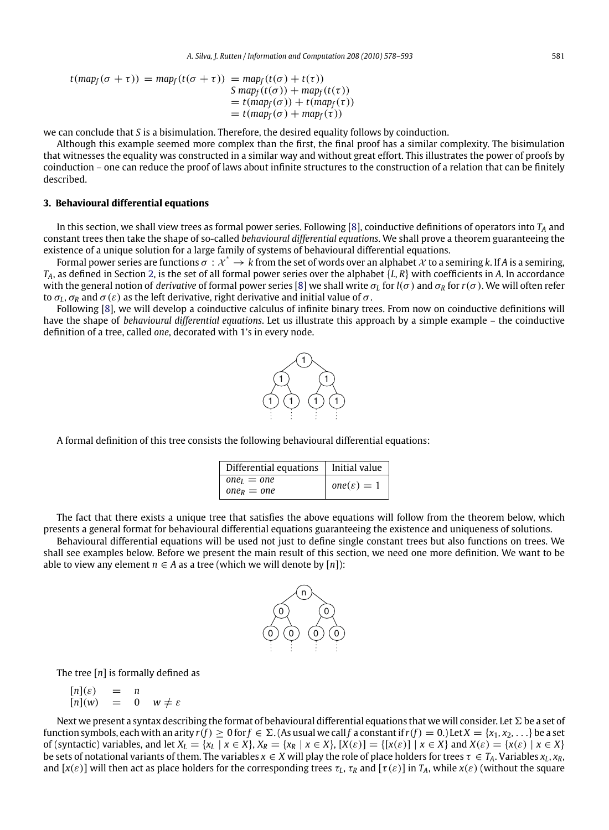<span id="page-3-0"></span>
$$
t(\text{map}_f(\sigma + \tau)) = \text{map}_f(t(\sigma + \tau)) = \text{map}_f(t(\sigma) + t(\tau))
$$
  
\n
$$
S \text{ map}_f(t(\sigma)) + \text{map}_f(t(\tau))
$$
  
\n
$$
= t(\text{map}_f(\sigma)) + t(\text{map}_f(\tau))
$$
  
\n
$$
= t(\text{map}_f(\sigma) + \text{map}_f(\tau))
$$

we can conclude that *S* is a bisimulation. Therefore, the desired equality follows by coinduction.

Although this example seemed more complex than the first, the final proof has a similar complexity. The bisimulation that witnesses the equality was constructed in a similar way and without great effort. This illustrates the power of proofs by coinduction – one can reduce the proof of laws about infinite structures to the construction of a relation that can be finitely described.

#### **3. Behavioural differential equations**

In this section, we shall view trees as formal power series. Following [\[8\]](#page-15-0), coinductive definitions of operators into *TA* and constant trees then take the shape of so-called *behavioural differential equations*. We shall prove a theorem guaranteeing the existence of a unique solution for a large family of systems of behavioural differential equations.

Formal power series are functions  $\sigma: \mathcal{X}^* \to k$  from the set of words over an alphabet  $\mathcal X$  to a semiring k. If A is a semiring, *TA*, as defined in Section [2,](#page-1-0) is the set of all formal power series over the alphabet {*L, R*} with coefficients in *A*. In accordance with the general notion of *derivative* of formal power series [\[8\]](#page-15-0) we shall write  $\sigma_l$  for  $l(\sigma)$  and  $\sigma_R$  for  $r(\sigma)$ . We will often refer to  $\sigma_L$ ,  $\sigma_R$  and  $\sigma(\varepsilon)$  as the left derivative, right derivative and initial value of  $\sigma$ .

Following [\[8\]](#page-15-0), we will develop a coinductive calculus of infinite binary trees. From now on coinductive definitions will have the shape of *behavioural differential equations*. Let us illustrate this approach by a simple example – the coinductive definition of a tree, called *one*, decorated with 1's in every node.



A formal definition of this tree consists the following behavioural differential equations:

| Differential equations   Initial value |                        |
|----------------------------------------|------------------------|
| $oneI = one$                           | $one(\varepsilon) = 1$ |
| $one_R = one$                          |                        |

The fact that there exists a unique tree that satisfies the above equations will follow from the theorem below, which presents a general format for behavioural differential equations guaranteeing the existence and uniqueness of solutions.

Behavioural differential equations will be used not just to define single constant trees but also functions on trees. We shall see examples below. Before we present the main result of this section, we need one more definition. We want to be able to view any element *n* ∈ *A* as a tree (which we will denote by  $[n]$ ):



The tree [*n*] is formally defined as

$$
\begin{array}{rcl}\n[n](\varepsilon) & = & n \\
[n](w) & = & 0 \quad w \neq \varepsilon\n\end{array}
$$

Next we present a syntax describing the format of behavioural differential equations that we will consider. Let  $\Sigma$  be a set of function symbols, each with an arity  $r(f) \ge 0$  for  $f \in \Sigma$ . (As usual we call  $f$  a constant if  $r(f) = 0$ .) Let  $X = \{x_1, x_2, \ldots\}$  be a set of (syntactic) variables, and let  $X_L = \{x_L | x \in X\}$ ,  $X_R = \{x_R | x \in X\}$ ,  $[X(\varepsilon)] = \{[x(\varepsilon)] | x \in X\}$  and  $X(\varepsilon) = \{x(\varepsilon) | x \in X\}$ be sets of notational variants of them. The variables  $x \in X$  will play the role of place holders for trees  $\tau \in T_A$ . Variables  $x_L, x_R$ , and  $[x(\varepsilon)]$  will then act as place holders for the corresponding trees  $\tau_L$ ,  $\tau_R$  and  $[\tau(\varepsilon)]$  in  $T_A$ , while  $x(\varepsilon)$  (without the square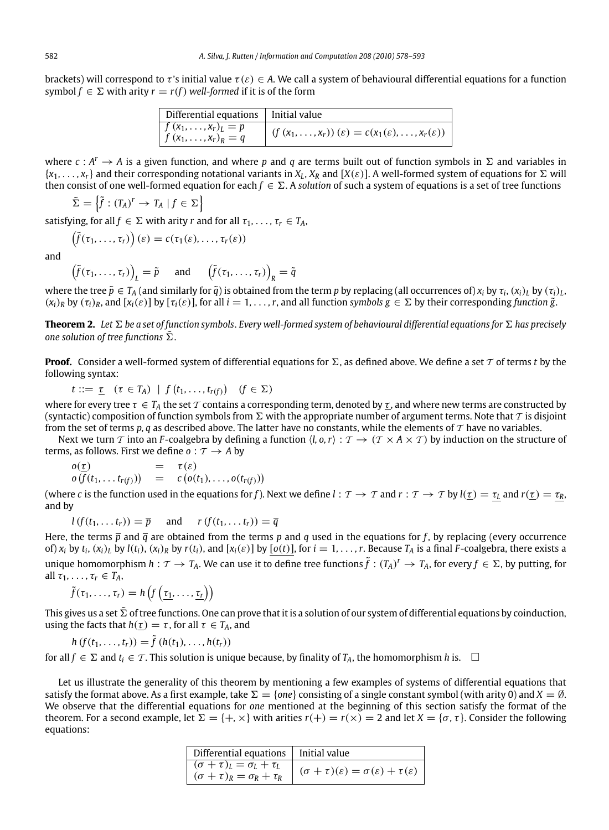<span id="page-4-0"></span>brackets) will correspond to  $\tau$ 's initial value  $\tau(\varepsilon) \in A$ . We call a system of behavioural differential equations for a function symbol  $f \in \Sigma$  with arity  $r = r(f)$  well-formed if it is of the form

| Differential equations   Initial value                       |                                                                                     |
|--------------------------------------------------------------|-------------------------------------------------------------------------------------|
| $\sqrt{f(x_1,\ldots,x_r)_L} = p$<br>$\int f(x_1,,x_r)_R = q$ | $\int (f(x_1,\ldots,x_r))(\varepsilon)=c(x_1(\varepsilon),\ldots,x_r(\varepsilon))$ |

where  $c: A^r \to A$  is a given function, and where p and q are terms built out of function symbols in  $\Sigma$  and variables in  $\{x_1, \ldots, x_r\}$  and their corresponding notational variants in  $X_L$ ,  $X_R$  and  $[X(\varepsilon)]$ . A well-formed system of equations for  $\Sigma$  will then consist of one well-formed equation for each  $f \in \Sigma$ . A solution of such a system of equations is a set of tree functions

 $\tilde{\Sigma} = \left\{ \tilde{f} : (T_A)^r \to T_A \mid f \in \Sigma \right\}$ 

satisfying, for all  $f \in \Sigma$  with arity *r* and for all  $\tau_1, \ldots, \tau_r \in T_A$ ,

$$
\left(\tilde{f}(\tau_1,\ldots,\tau_r)\right)(\varepsilon)=c(\tau_1(\varepsilon),\ldots,\tau_r(\varepsilon))
$$

and

$$
\left(\tilde{f}(\tau_1,\ldots,\tau_r)\right)_L = \tilde{p} \quad \text{and} \quad \left(\tilde{f}(\tau_1,\ldots,\tau_r)\right)_R = \tilde{q}
$$

where the tree  $\tilde{p} \in T_A$  (and similarly for  $\tilde{q}$ ) is obtained from the term *p* by replacing (all occurrences of) *x<sub>i</sub>* by  $\tau_i$ , (*x<sub>i</sub>*)<sub>L</sub>, by ( $\tau_i$ )<sub>L</sub>,  $(x_i)_R$  by  $(\tau_i)_R$ , and  $[x_i(\varepsilon)]$  by  $[\tau_i(\varepsilon)]$ , for all  $i = 1, \ldots, r$ , and all function *symbols*  $g \in \Sigma$  by their corresponding *function*  $\tilde{g}$ .

 ${\bf Theorem~2.}$  Let  $\Sigma$  be a set of function symbols. Every well-formed system of behavioural differential equations for  $\Sigma$  has precisely one solution of tree functions  $\tilde{\Sigma}.$ 

**Proof.** Consider a well-formed system of differential equations for  $\Sigma$ , as defined above. We define a set  $\mathcal T$  of terms  $t$  by the following syntax:

 $t ::= \underline{\tau} \quad (\tau \in T_A) \mid f(t_1, \ldots, t_{r(f)}) \quad (f \in \Sigma)$ 

where for every tree  $\tau \in T_A$  the set T contains a corresponding term, denoted by  $\tau$ , and where new terms are constructed by (syntactic) composition of function symbols from  $\Sigma$  with the appropriate number of argument terms. Note that  $\tau$  is disjoint from the set of terms  $p$ ,  $q$  as described above. The latter have no constants, while the elements of  $T$  have no variables.

Next we turn T into an *F*-coalgebra by defining a function  $\langle l, o, r \rangle : T \to (T \times A \times T)$  by induction on the structure of terms, as follows. First we define  $o: \mathcal{T} \rightarrow A$  by

 $o(\tau)$  =  $\tau(\varepsilon)$  $o(f(t_1, ..., t_{r(f)})) = c(o(t_1), ..., o(t_{r(f)}))$ 

(where *c* is the function used in the equations for *f*). Next we define  $l : T \to T$  and  $r : T \to T$  by  $l(\underline{r}) = \underline{r_l}$  and  $r(\underline{r}) = \underline{r_R}$ , and by

 $l(f(t_1, \ldots, t_r)) = \overline{p}$  and  $r(f(t_1, \ldots, t_r)) = \overline{q}$ 

Here, the terms  $\bar{p}$  and  $\bar{q}$  are obtained from the terms  $p$  and  $q$  used in the equations for  $f$ , by replacing (every occurrence of)  $x_i$  by  $t_i$ ,  $(x_i)_L$  by  $l(t_i)$ ,  $(x_i)_R$  by  $r(t_i)$ , and  $[x_i(\varepsilon)]$  by  $[o(t)]$ , for  $i = 1, ..., r$ . Because  $T_A$  is a final *F*-coalgebra, there exists a unique homomorphism  $h: \mathcal{T} \to T_A$ . We can use it to define tree functions  $\tilde{f}: (T_A)^r \to T_A$ , for every  $f \in \Sigma$ , by putting, for all  $\tau_1, \ldots, \tau_r \in T_A$ ,

 $\tilde{f}(\tau_1, \ldots, \tau_r) = h\left(f\left(\tau_1, \ldots, \tau_r\right)\right)$ 

This gives us a set  $\tilde\Sigma$  of tree functions. One can prove that it is a solution of our system of differential equations by coinduction, using the facts that  $h(\tau) = \tau$ , for all  $\tau \in T_A$ , and

 $h(f(t_1, \ldots, t_r)) = \tilde{f}(h(t_1), \ldots, h(t_r))$ 

for all *f* ∈  $\Sigma$  and *t<sub>i</sub>* ∈  $\tau$ . This solution is unique because, by finality of *T<sub>A</sub>*, the homomorphism *h* is.  $\Box$ 

Let us illustrate the generality of this theorem by mentioning a few examples of systems of differential equations that satisfy the format above. As a first example, take  $\Sigma = \{one\}$  consisting of a single constant symbol (with arity 0) and  $X = \emptyset$ . We observe that the differential equations for *one* mentioned at the beginning of this section satisfy the format of the theorem. For a second example, let  $\Sigma = \{+, \times\}$  with arities  $r(+) = r(\times) = 2$  and let  $X = \{\sigma, \tau\}$ . Consider the following equations:

| Differential equations   Initial value                                                   |                                                                          |
|------------------------------------------------------------------------------------------|--------------------------------------------------------------------------|
| $\sigma(\sigma+\tau)_{L}=\sigma_{L}+\tau_{L}$<br>$(\sigma + \tau)_R = \sigma_R + \tau_R$ | $(\sigma + \tau)(\varepsilon) = \sigma(\varepsilon) + \tau(\varepsilon)$ |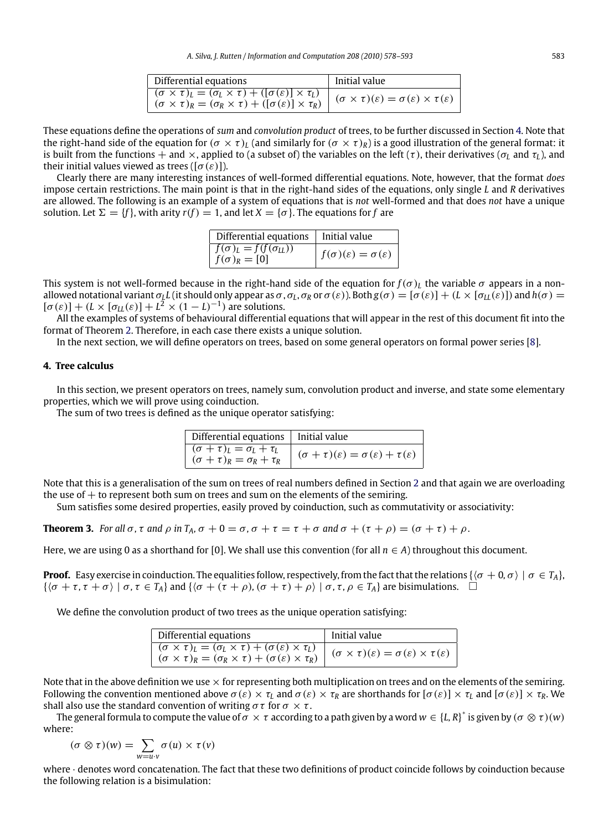| Differential equations                                                                                                                                                                 | Initial value                                                                      |
|----------------------------------------------------------------------------------------------------------------------------------------------------------------------------------------|------------------------------------------------------------------------------------|
| $(\sigma \times \tau)_l = (\sigma_l \times \tau) + ([\sigma(\varepsilon)] \times \tau_l)$<br>$(\sigma \times \tau)_R = (\sigma_R \times \tau) + ([\sigma(\varepsilon)] \times \tau_R)$ | $(\sigma \times \tau)(\varepsilon) = \sigma(\varepsilon) \times \tau(\varepsilon)$ |

These equations define the operations of *sum* and *convolution product* of trees, to be further discussed in Section 4. Note that the right-hand side of the equation for  $(\sigma \times \tau)_l$  (and similarly for  $(\sigma \times \tau)_l$ ) is a good illustration of the general format: it is built from the functions  $+$  and  $\times$ , applied to (a subset of) the variables on the left ( $\tau$ ), their derivatives ( $\sigma_l$  and  $\tau_l$ ), and their initial values viewed as trees ( $[\sigma(\varepsilon)]$ ).

Clearly there are many interesting instances of well-formed differential equations. Note, however, that the format *does* impose certain restrictions. The main point is that in the right-hand sides of the equations, only single *L* and *R* derivatives are allowed. The following is an example of a system of equations that is *not* well-formed and that does *not* have a unique solution. Let  $\Sigma = \{f\}$ , with arity  $r(f) = 1$ , and let  $X = \{\sigma\}$ . The equations for *f* are

| Differential equations   Initial value                   |                                                               |
|----------------------------------------------------------|---------------------------------------------------------------|
| $f(\sigma)_L = f(f(\sigma_{LL}))$<br>$f(\sigma)_R = [0]$ | $\left  f(\sigma)(\varepsilon) = \sigma(\varepsilon) \right $ |

This system is not well-formed because in the right-hand side of the equation for  $f(\sigma)_L$  the variable  $\sigma$  appears in a nonallowed notational variant  $\sigma_l L$  (it should only appear as  $\sigma$ ,  $\sigma_l$ ,  $\sigma_R$  or  $\sigma(\varepsilon)$ ). Both  $g(\sigma) = [\sigma(\varepsilon)] + (L \times [\sigma_{LL}(\varepsilon)])$  and  $h(\sigma) =$  $[\sigma(\varepsilon)] + (L \times [\sigma_{LL}(\varepsilon)] + L^2 \times (1 - L)^{-1})$  are solutions.

All the examples of systems of behavioural differential equations that will appear in the rest of this document fit into the format of Theorem [2.](#page-4-0) Therefore, in each case there exists a unique solution.

In the next section, we will define operators on trees, based on some general operators on formal power series [\[8\]](#page-15-0).

### **4. Tree calculus**

In this section, we present operators on trees, namely sum, convolution product and inverse, and state some elementary properties, which we will prove using coinduction.

The sum of two trees is defined as the unique operator satisfying:

| Differential equations   Initial value                                                |                                                                          |
|---------------------------------------------------------------------------------------|--------------------------------------------------------------------------|
| $\frac{(\sigma + \tau)_L = \sigma_L + \tau_L}{(\sigma + \tau)_R = \sigma_R + \tau_R}$ | $\sigma(\sigma+\tau)(\varepsilon)=\sigma(\varepsilon)+\tau(\varepsilon)$ |

Note that this is a generalisation of the sum on trees of real numbers defined in Section [2](#page-1-0) and that again we are overloading the use of  $+$  to represent both sum on trees and sum on the elements of the semiring.

Sum satisfies some desired properties, easily proved by coinduction, such as commutativity or associativity:

**Theorem 3.** *For all*  $\sigma$ *,*  $\tau$  *and*  $\rho$  *in*  $T_A$ ,  $\sigma$  + 0 =  $\sigma$ ,  $\sigma$  +  $\tau$  =  $\tau$  +  $\sigma$  *and*  $\sigma$  +  $(\tau + \rho) = (\sigma + \tau) + \rho$ .

Here, we are using 0 as a shorthand for [0]. We shall use this convention (for all  $n \in A$ ) throughout this document.

**Proof.** Easy exercise in coinduction. The equalities follow, respectively, from the fact that the relations  $\{\langle \sigma + 0, \sigma \rangle \mid \sigma \in T_A\}$ ,  $\{\langle \sigma + \tau, \tau + \sigma \rangle \mid \sigma, \tau \in T_A\}$  and  $\{\langle \sigma + (\tau + \rho), (\sigma + \tau) + \rho \rangle \mid \sigma, \tau, \rho \in T_A\}$  are bisimulations.  $\Box$ 

We define the convolution product of two trees as the unique operation satisfying:

| Differential equations                                                                                                                                                                   | Initial value                                                                      |
|------------------------------------------------------------------------------------------------------------------------------------------------------------------------------------------|------------------------------------------------------------------------------------|
| $\sigma(\sigma \times \tau)_L = (\sigma_L \times \tau) + (\sigma(\varepsilon) \times \tau_L)$<br>$(\sigma \times \tau)_R = (\sigma_R \times \tau) + (\sigma(\varepsilon) \times \tau_R)$ | $(\sigma \times \tau)(\varepsilon) = \sigma(\varepsilon) \times \tau(\varepsilon)$ |

Note that in the above definition we use  $\times$  for representing both multiplication on trees and on the elements of the semiring. Following the convention mentioned above  $\sigma(\varepsilon) \times \tau_L$  and  $\sigma(\varepsilon) \times \tau_R$  are shorthands for  $[\sigma(\varepsilon)] \times \tau_L$  and  $[\sigma(\varepsilon)] \times \tau_R$ . We shall also use the standard convention of writing  $\sigma\tau$  for  $\sigma \times \tau$ .

The general formula to compute the value of  $\sigma \times \tau$  according to a path given by a word  $w \in \{L, R\}^*$  is given by  $(\sigma \otimes \tau)(w)$ where:

$$
(\sigma \otimes \tau)(w) = \sum_{w=u \cdot v} \sigma(u) \times \tau(v)
$$

where · denotes word concatenation. The fact that these two definitions of product coincide follows by coinduction because the following relation is a bisimulation: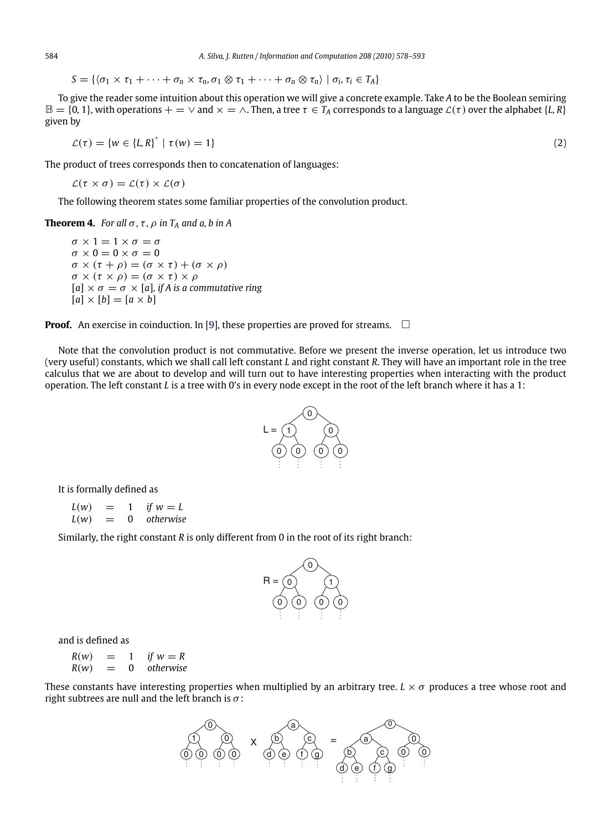$S = \{ \langle \sigma_1 \times \tau_1 + \cdots + \sigma_n \times \tau_n, \sigma_1 \otimes \tau_1 + \cdots + \sigma_n \otimes \tau_n \rangle \mid \sigma_i, \tau_i \in T_A \}$ 

To give the reader some intuition about this operation we will give a concrete example. Take *A* to be the Boolean semiring  $\mathbb{B} = \{0, 1\}$ , with operations  $+ = \vee$  and  $\times = \wedge$ . Then, a tree  $\tau \in T_A$  corresponds to a language  $\mathcal{L}(\tau)$  over the alphabet  $\{L, R\}$ given by

 $\mathcal{L}(\tau) = \{ w \in \{L, R\}^* \mid \tau(w) = 1 \}$  (2)

The product of trees corresponds then to concatenation of languages:

 $\mathcal{L}(\tau \times \sigma) = \mathcal{L}(\tau) \times \mathcal{L}(\sigma)$ 

The following theorem states some familiar properties of the convolution product.

**Theorem 4.** *For all*  $\sigma$ *,*  $\tau$ *,*  $\rho$  *in*  $T_A$  *and*  $a$ *,*  $b$  *in*  $A$ 

 $\sigma \times 1 = 1 \times \sigma = \sigma$  $\sigma \times 0 = 0 \times \sigma = 0$  $\sigma \times (\tau + \rho) = (\sigma \times \tau) + (\sigma \times \rho)$  $\sigma \times (\tau \times \rho) = (\sigma \times \tau) \times \rho$  $[a] \times \sigma = \sigma \times [a]$ , if A is a commutative ring  $[a] \times [b] = [a \times b]$ 

**Proof.** An exercise in coinduction. In [\[9\]](#page-15-0), these properties are proved for streams.  $\quad \Box$ 

Note that the convolution product is not commutative. Before we present the inverse operation, let us introduce two (very useful) constants, which we shall call left constant *L* and right constant *R*. They will have an important role in the tree calculus that we are about to develop and will turn out to have interesting properties when interacting with the product operation. The left constant *L* is a tree with 0's in every node except in the root of the left branch where it has a 1:



It is formally defined as

 $L(w) = 1$  *if*  $w = L$ *L*(*w*) = 0 *otherwise*

Similarly, the right constant *R* is only different from 0 in the root of its right branch:



and is defined as

 $R(w) = 1$  *if*  $w = R$ <br> $R(w) = 0$  otherwise  $= 0$  *otherwise* 

These constants have interesting properties when multiplied by an arbitrary tree.  $L \times \sigma$  produces a tree whose root and right subtrees are null and the left branch is  $\sigma$ :



<span id="page-6-0"></span>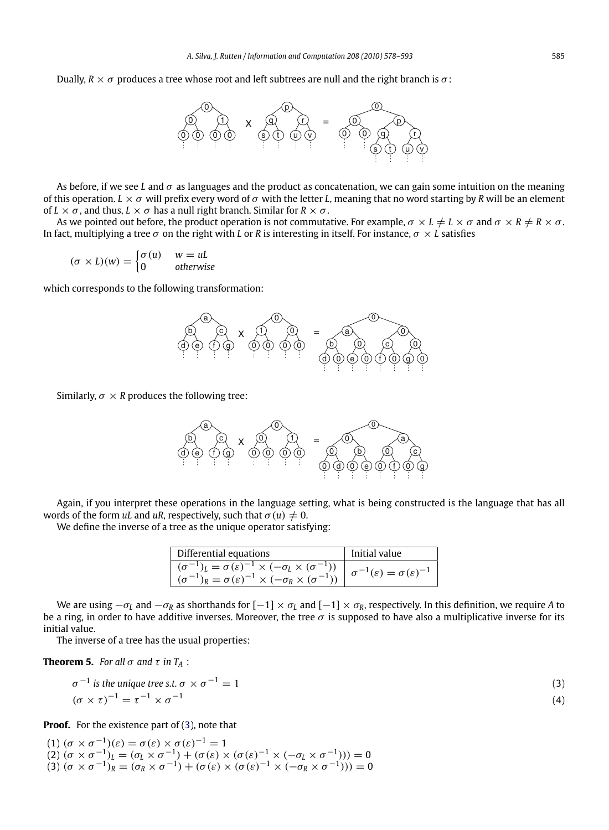<span id="page-7-0"></span>Dually,  $R \times \sigma$  produces a tree whose root and left subtrees are null and the right branch is  $\sigma$ :



As before, if we see *L* and  $\sigma$  as languages and the product as concatenation, we can gain some intuition on the meaning of this operation.  $L \times \sigma$  will prefix every word of  $\sigma$  with the letter *L*, meaning that no word starting by *R* will be an element of  $L \times \sigma$ , and thus,  $L \times \sigma$  has a null right branch. Similar for  $R \times \sigma$ .

As we pointed out before, the product operation is not commutative. For example,  $\sigma \times L \neq L \times \sigma$  and  $\sigma \times R \neq R \times \sigma$ . In fact, multiplying a tree σ on the right with *L* or *R* is interesting in itself. For instance, σ × *L* satisfies

$$
(\sigma \times L)(w) = \begin{cases} \sigma(u) & w = uL \\ 0 & \text{otherwise} \end{cases}
$$

which corresponds to the following transformation:



Similarly,  $\sigma \times R$  produces the following tree:



Again, if you interpret these operations in the language setting, what is being constructed is the language that has all words of the form *uL* and *uR*, respectively, such that  $\sigma(u) \neq 0$ .

We define the inverse of a tree as the unique operator satisfying:

| Differential equations                                                                                                                                                                 | Initial value                                         |
|----------------------------------------------------------------------------------------------------------------------------------------------------------------------------------------|-------------------------------------------------------|
| $\overline{(\sigma^{-1})_L} = \sigma(\varepsilon)^{-1} \times (-\sigma_L \times (\sigma^{-1})$<br>$(\sigma^{-1})_R = \sigma(\varepsilon)^{-1} \times (-\sigma_R \times (\sigma^{-1}))$ | $\sigma^{-1}(\varepsilon) = \sigma(\varepsilon)^{-1}$ |
| $(\sigma^-$                                                                                                                                                                            |                                                       |

We are using  $-\sigma_L$  and  $-\sigma_R$  as shorthands for  $[-1] \times \sigma_L$  and  $[-1] \times \sigma_R$ , respectively. In this definition, we require *A* to be a ring, in order to have additive inverses. Moreover, the tree  $\sigma$  is supposed to have also a multiplicative inverse for its initial value.

The inverse of a tree has the usual properties:

**Theorem 5.** *For all*  $\sigma$  *and*  $\tau$  *in*  $T_A$  :

$$
\sigma^{-1} \text{ is the unique tree s.t. } \sigma \times \sigma^{-1} = 1
$$
\n
$$
(\sigma \times \tau)^{-1} = \tau^{-1} \times \sigma^{-1}
$$
\n(3)

**Proof.** For the existence part of (3), note that

(1)  $(\sigma \times \sigma^{-1})(\varepsilon) = \sigma(\varepsilon) \times \sigma(\varepsilon)^{-1} = 1$ (2)  $(\sigma \times \sigma^{-1})_L = (\sigma_L \times \sigma^{-1}) + (\sigma(\varepsilon) \times (\sigma(\varepsilon)^{-1} \times (-\sigma_L \times \sigma^{-1}))) = 0$ (3)  $(\sigma \times \sigma^{-1})_R^{\mathsf{C}} = (\sigma_R \times \sigma^{-1}) + (\sigma(\varepsilon) \times (\sigma(\varepsilon)^{-1} \times (-\sigma_R \times \sigma^{-1}))) = 0$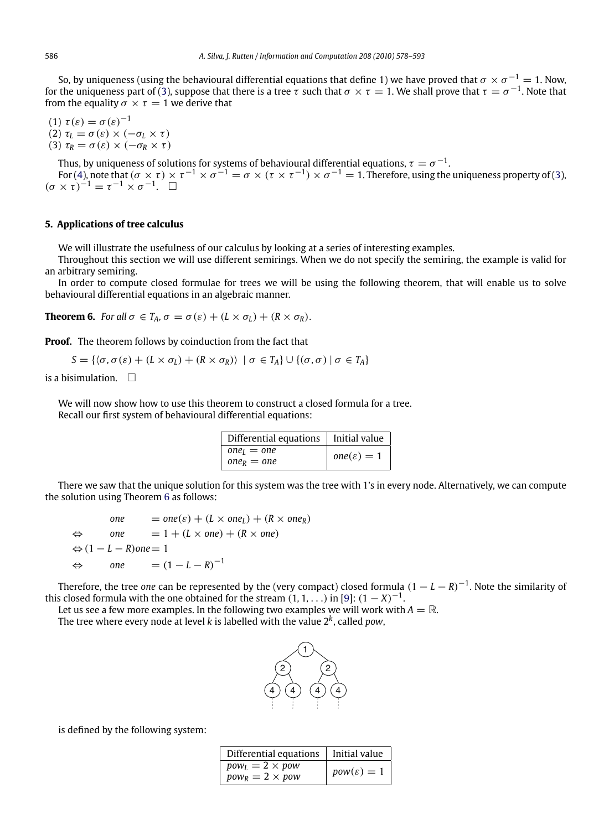<span id="page-8-0"></span>So, by uniqueness (using the behavioural differential equations that define 1) we have proved that  $\sigma \times \sigma^{-1} = 1$ . Now, for the uniqueness part of [\(3\)](#page-7-0), suppose that there is a tree  $\tau$  such that  $\sigma \times \tau = 1$ . We shall prove that  $\tau = \sigma^{-1}$ . Note that from the equality  $\sigma \times \tau = 1$  we derive that

(1)  $\tau(\varepsilon) = \sigma(\varepsilon)^{-1}$ (2)  $\tau_L = \sigma(\varepsilon) \times (-\sigma_L \times \tau)$ (3)  $\tau_R = \sigma(\varepsilon) \times (-\sigma_R \times \tau)$ 

Thus, by uniqueness of solutions for systems of behavioural differential equations,  $\tau = \sigma^{-1}$ .

For [\(4\)](#page-7-0), note that  $(\sigma \times \tau) \times \tau^{-1} \times \sigma^{-1} = \sigma \times (\tau \times \tau^{-1}) \times \sigma^{-1} = 1$ . Therefore, using the uniqueness property of [\(3\)](#page-7-0),  $(\sigma \times \tau)^{-1} = \tau^{-1} \times \sigma^{-1}$ .  $\Box$ 

### **5. Applications of tree calculus**

We will illustrate the usefulness of our calculus by looking at a series of interesting examples.

Throughout this section we will use different semirings. When we do not specify the semiring, the example is valid for an arbitrary semiring.

In order to compute closed formulae for trees we will be using the following theorem, that will enable us to solve behavioural differential equations in an algebraic manner.

**Theorem 6.** *For all*  $\sigma \in T_A$ ,  $\sigma = \sigma(\varepsilon) + (L \times \sigma_L) + (R \times \sigma_R)$ .

**Proof.** The theorem follows by coinduction from the fact that

$$
S = \{ \langle \sigma, \sigma(\varepsilon) + (L \times \sigma_L) + (R \times \sigma_R) \rangle \mid \sigma \in T_A \} \cup \{ (\sigma, \sigma) \mid \sigma \in T_A \}
$$

is a bisimulation.  $\square$ 

We will now show how to use this theorem to construct a closed formula for a tree. Recall our first system of behavioural differential equations:

| Differential equations   Initial value |                        |
|----------------------------------------|------------------------|
| $oneI = one$                           | $one(\varepsilon) = 1$ |
| $one_R = one$                          |                        |

There we saw that the unique solution for this system was the tree with 1's in every node. Alternatively, we can compute the solution using Theorem 6 as follows:

one = 
$$
one(\varepsilon) + (L \times one_L) + (R \times one_R)
$$
  
\n $\Leftrightarrow$  one = 1 + (L \times one) + (R \times one)  
\n $\Leftrightarrow (1 - L - R) one = 1$   
\n $\Leftrightarrow$  one =  $(1 - L - R)^{-1}$ 

Therefore, the tree *one* can be represented by the (very compact) closed formula  $(1 - L - R)^{-1}$ . Note the similarity of this closed formula with the one obtained for the stream  $(1, 1, \ldots)$  in [\[9\]](#page-15-0):  $(1 - X)^{-1}$ .

Let us see a few more examples. In the following two examples we will work with  $A = \mathbb{R}$ . The tree where every node at level *k* is labelled with the value 2*k*, called *pow*,

![](_page_8_Figure_19.jpeg)

is defined by the following system:

| Differential equations   Initial value           |                        |
|--------------------------------------------------|------------------------|
| $pow_l = 2 \times pow$<br>$pow_R = 2 \times pow$ | $pow(\varepsilon) = 1$ |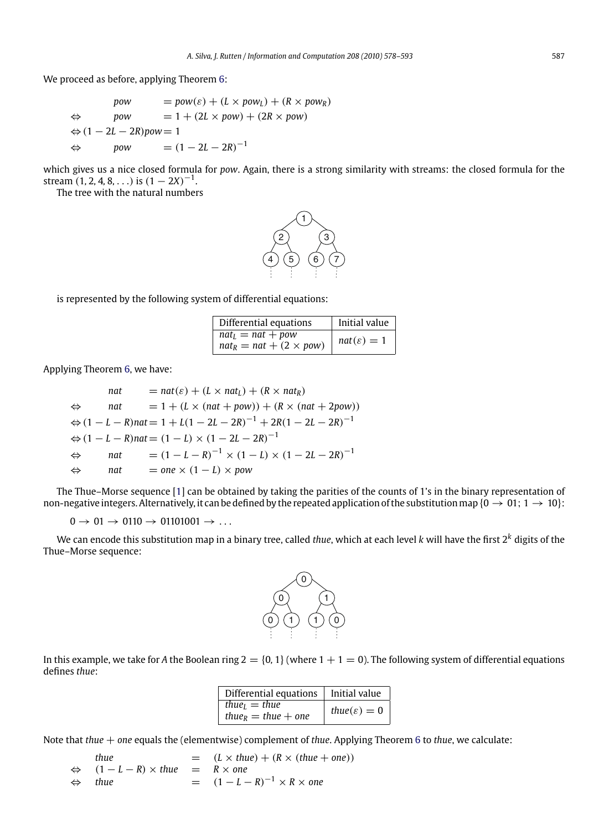We proceed as before, applying Theorem [6:](#page-8-0)

$$
pow = pow(\varepsilon) + (L \times pow_L) + (R \times pow_R)
$$
  
\n
$$
pow = 1 + (2L \times pow) + (2R \times pow)
$$
  
\n
$$
() 1 - 2L - 2R) pow = 1
$$
  
\n
$$
pow = (1 - 2L - 2R)^{-1}
$$

which gives us a nice closed formula for *pow*. Again, there is a strong similarity with streams: the closed formula for the stream  $(1, 2, 4, 8, ...)$  is  $(1 – 2X)^{-1}$ .

The tree with the natural numbers

![](_page_9_Figure_5.jpeg)

is represented by the following system of differential equations:

| Differential equations                                | Initial value          |
|-------------------------------------------------------|------------------------|
| $nat_l = nat + pow$<br>$nat_R = nat + (2 \times pow)$ | $nat(\varepsilon) = 1$ |

Applying Theorem [6,](#page-8-0) we have:

*nat*  $= nat(\varepsilon) + (L \times nat_L) + (R \times nat_R)$  $\Leftrightarrow$  *nat* = 1 + (*L* × (*nat* + *pow*)) + (*R* × (*nat* + 2*pow*))  $\Leftrightarrow$   $(1 - L - R)$ *nat* = 1 + *L*(1 – 2*L* – 2*R*)<sup>-1</sup> + 2*R*(1 – 2*L* – 2*R*)<sup>-1</sup>  $\Leftrightarrow$   $(1 - L - R)$ *nat* =  $(1 - L) \times (1 - 2L - 2R)^{-1}$  $\Leftrightarrow$  *nat* =  $(1 - L - R)^{-1} \times (1 - L) \times (1 - 2L - 2R)^{-1}$  $\Leftrightarrow$  *nat* = *one* × (1 − *L*) × *pow* 

The Thue–Morse sequence [\[1\]](#page-15-0) can be obtained by taking the parities of the counts of 1's in the binary representation of non-negative integers. Alternatively, it can be defined by the repeated application of the substitution map { $0 \rightarrow 01$ ;  $1 \rightarrow 10$ }:

 $0 \rightarrow 01 \rightarrow 0110 \rightarrow 01101001 \rightarrow \ldots$ 

We can encode this substitution map in a binary tree, called *thue*, which at each level *k* will have the first 2*<sup>k</sup>* digits of the Thue–Morse sequence:

![](_page_9_Figure_13.jpeg)

In this example, we take for *A* the Boolean ring  $2 = \{0, 1\}$  (where  $1 + 1 = 0$ ). The following system of differential equations defines *thue*:

| Differential equations                | l Initial value           |
|---------------------------------------|---------------------------|
| thue <sub><math>l</math></sub> = thue |                           |
| thue <sub>R</sub> = thue + one        | thue( $\varepsilon$ ) = 0 |

Note that *thue* + *one* equals the (elementwise) complement of *thue*. Applying Theorem [6](#page-8-0) to *thue*, we calculate:

*thue*  $= (L \times \text{thue}) + (R \times (\text{thue} + \text{one}))$  $\Leftrightarrow$   $(1 - L - R) \times$  *thue* =  $R \times$  *one*  $\Leftrightarrow$  *thue* =  $(1 - L - R)^{-1} \times R \times$  one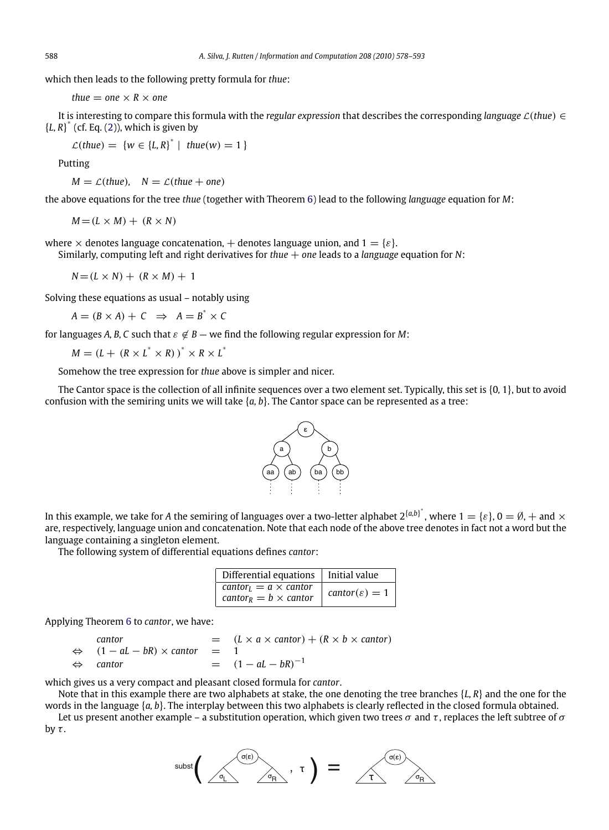which then leads to the following pretty formula for *thue*:

*thue*  $=$  *one*  $\times$  *R*  $\times$  *one* 

It is interesting to compare this formula with the *regular expression* that describes the corresponding *language* <sup>L</sup>(*thue*) ∈  ${L, R}^*$  (cf. Eq. [\(2\)](#page-6-0)), which is given by

$$
\mathcal{L}(\text{thue}) = \{w \in \{L, R\}^* \mid \text{thue}(w) = 1\}
$$

Putting

 $M = \mathcal{L}(thue)$ ,  $N = \mathcal{L}(thue + one)$ 

the above equations for the tree *thue* (together with Theorem [6\)](#page-8-0) lead to the following *language* equation for *M*:

 $M = (L \times M) + (R \times N)$ 

where  $\times$  denotes language concatenation,  $+$  denotes language union, and  $1 = \{\varepsilon\}$ . Similarly, computing left and right derivatives for *thue* + *one* leads to a *language* equation for *N*:

 $N = (L \times N) + (R \times M) + 1$ 

Solving these equations as usual – notably using

 $A = (B \times A) + C \implies A = B^* \times C$ 

for languages *A, B, C* such that  $\varepsilon \notin B$  — we find the following regular expression for *M*:

 $M = (L + (R \times L^* \times R))^* \times R \times L^*$ 

Somehow the tree expression for *thue* above is simpler and nicer.

The Cantor space is the collection of all infinite sequences over a two element set. Typically, this set is {0*,* 1}, but to avoid confusion with the semiring units we will take {*a, b*}. The Cantor space can be represented as a tree:

![](_page_10_Figure_17.jpeg)

In this example, we take for A the semiring of languages over a two-letter alphabet  $2^{\{a,b\}}$ , where  $1=\{\varepsilon\},$   $0=\emptyset, +$  and  $\times$ are, respectively, language union and concatenation. Note that each node of the above tree denotes in fact not a word but the language containing a singleton element.

The following system of differential equations defines *cantor*:

| Differential equations $\vert$ Initial value                                                    |                             |
|-------------------------------------------------------------------------------------------------|-----------------------------|
| cantor <sub><math>1</math></sub> = $a \times$ cantor<br>cantor <sub>R</sub> = $b \times$ cantor | cantor( $\varepsilon$ ) = 1 |

Applying Theorem [6](#page-8-0) to *cantor*, we have:

*cantor*  $=$   $(L \times a \times cantor) + (R \times b \times cantor)$  $\Leftrightarrow$   $(1 - aL - bR) \times \text{cantor} = 1$  $\Leftrightarrow$  *cantor* =  $(1 - aL - bR)^{-1}$ 

which gives us a very compact and pleasant closed formula for *cantor*.

Note that in this example there are two alphabets at stake, the one denoting the tree branches {*L, R*} and the one for the words in the language {*a, b*}. The interplay between this two alphabets is clearly reflected in the closed formula obtained.

Let us present another example – a substitution operation, which given two trees  $\sigma$  and  $\tau$ , replaces the left subtree of  $\sigma$ by  $\tau$ .

![](_page_10_Figure_26.jpeg)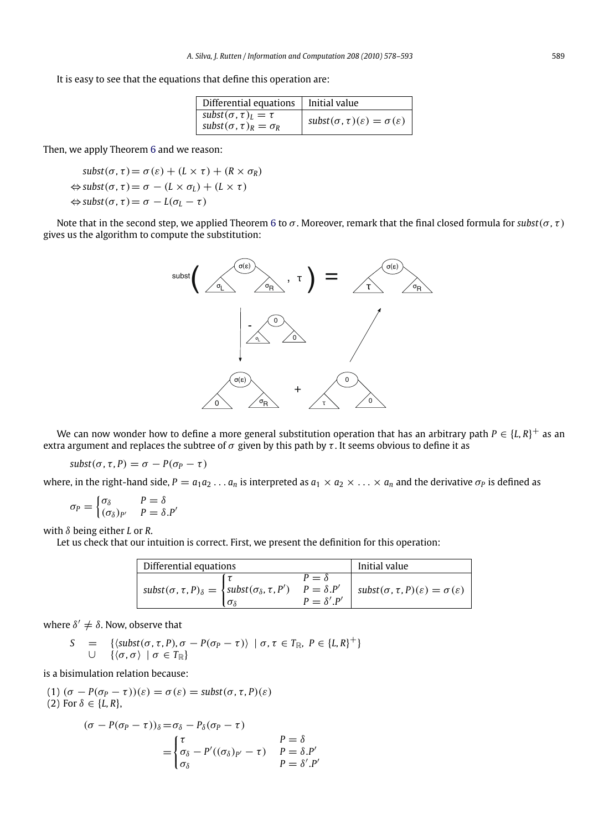It is easy to see that the equations that define this operation are:

| Differential equations                                                 | Initial value                                             |
|------------------------------------------------------------------------|-----------------------------------------------------------|
| subst $(\sigma, \tau)_I = \tau$<br>subst $(\sigma, \tau)_R = \sigma_R$ | subst $(\sigma, \tau)(\varepsilon) = \sigma(\varepsilon)$ |

Then, we apply Theorem [6](#page-8-0) and we reason:

$$
subst(σ, τ) = σ(ε) + (L × τ) + (R × σR)
$$
  
\n
$$
approxsubst(σ, τ) = σ - (L × σL) + (L × τ)
$$
  
\n
$$
approxsubst(σ, τ) = σ - L(σL - τ)
$$

Note that in the second step, we applied Theorem [6](#page-8-0) to  $\sigma$ . Moreover, remark that the final closed formula for *subst*( $\sigma$ ,  $\tau$ ) gives us the algorithm to compute the substitution:

![](_page_11_Figure_6.jpeg)

We can now wonder how to define a more general substitution operation that has an arbitrary path  $P \in \{L, R\}^+$  as an extra argument and replaces the subtree of  $\sigma$  given by this path by  $\tau$ . It seems obvious to define it as

$$
subst(\sigma, \tau, P) = \sigma - P(\sigma_P - \tau)
$$

where, in the right-hand side,  $P = a_1 a_2 ... a_n$  is interpreted as  $a_1 \times a_2 \times ... \times a_n$  and the derivative  $\sigma_P$  is defined as

$$
\sigma_P = \begin{cases} \sigma_{\delta} & P = \delta \\ (\sigma_{\delta})_{P'} & P = \delta.P' \end{cases}
$$

with δ being either *L* or *R*.

Let us check that our intuition is correct. First, we present the definition for this operation:

| Differential equations                                                                              |            |                                                       | Initial value                                                |
|-----------------------------------------------------------------------------------------------------|------------|-------------------------------------------------------|--------------------------------------------------------------|
| $\mathsf{subst}(\sigma,\tau,P)_{\delta} = \left\{ \mathsf{subst}(\sigma_{\delta},\tau,P') \right\}$ | $\sigma$ s | $P = \delta$<br>$P = \delta.P'$<br>$P = \delta' . P'$ | subst $(\sigma, \tau, P)(\varepsilon) = \sigma(\varepsilon)$ |

where  $\delta' \neq \delta$ . Now, observe that

$$
S = \{ \langle \textit{subst}(\sigma, \tau, P), \sigma - P(\sigma_P - \tau) \rangle \mid \sigma, \tau \in T_{\mathbb{R}}, P \in \{L, R\}^+ \} \cup \{ \langle \sigma, \sigma \rangle \mid \sigma \in T_{\mathbb{R}} \}
$$

is a bisimulation relation because:

(1) 
$$
(\sigma - P(\sigma_P - \tau))(\varepsilon) = \sigma(\varepsilon) = \text{subst}(\sigma, \tau, P)(\varepsilon)
$$
  
(2) For  $\delta \in \{L, R\}$ ,

$$
(\sigma - P(\sigma_P - \tau))_{\delta} = \sigma_{\delta} - P_{\delta}(\sigma_P - \tau)
$$
  
= 
$$
\begin{cases} \tau \\ \sigma_{\delta} - P'((\sigma_{\delta})_{P'} - \tau) & P = \delta P' \\ \sigma_{\delta} & P = \delta'.P' \end{cases}
$$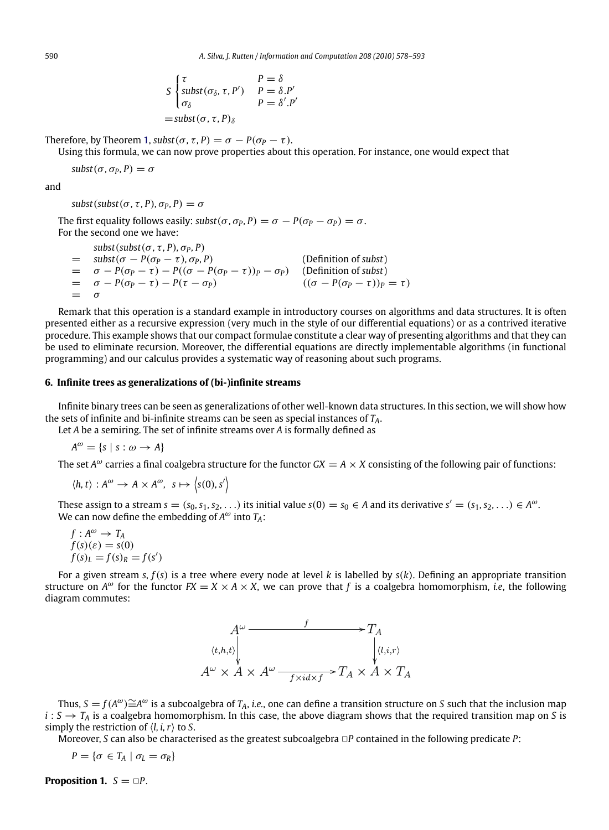$$
S \begin{cases} \tau & P = \delta \\ \text{subst}(\sigma_{\delta}, \tau, P') & P = \delta.P' \\ \sigma_{\delta} & P = \delta'.P' \end{cases}
$$
\n
$$
= \text{subst}(\sigma, \tau, P)_{\delta}
$$

Therefore, by Theorem [1,](#page-2-0)  $\text{subst}(\sigma, \tau, P) = \sigma - P(\sigma_P - \tau)$ .

Using this formula, we can now prove properties about this operation. For instance, one would expect that

$$
subst(\sigma, \sigma_P, P) = \sigma
$$

and

 $subst(subst(\sigma, \tau, P), \sigma_P, P) = \sigma$ 

The first equality follows easily:  $\text{subst}(\sigma, \sigma_P, P) = \sigma - P(\sigma_P - \sigma_P) = \sigma$ . For the second one we have:

 $subst(subst(\sigma, \tau, P), \sigma_P, P)$  $=$  *subst*( $\sigma - P(\sigma_P - \tau), \sigma_P, P$ ) (Definition of *subst*)  $= \sigma - P(\sigma_P - \tau) - P((\sigma - P(\sigma_P - \tau))_P - \sigma_P)$  (Definition of *subst*)  $= \sigma - P(\sigma_P - \tau) - P(\tau - \sigma_P)$   $((\sigma - P(\sigma_P - \tau))_P = \tau)$  $=$ 

Remark that this operation is a standard example in introductory courses on algorithms and data structures. It is often presented either as a recursive expression (very much in the style of our differential equations) or as a contrived iterative procedure. This example shows that our compact formulae constitute a clear way of presenting algorithms and that they can be used to eliminate recursion. Moreover, the differential equations are directly implementable algorithms (in functional programming) and our calculus provides a systematic way of reasoning about such programs.

#### **6. Infinite trees as generalizations of (bi-)infinite streams**

Infinite binary trees can be seen as generalizations of other well-known data structures. In this section, we will show how the sets of infinite and bi-infinite streams can be seen as special instances of *TA*.

Let *A* be a semiring. The set of infinite streams over *A* is formally defined as

 $A^{\omega} = \{s \mid s : \omega \rightarrow A\}$ 

The set  $A^{\omega}$  carries a final coalgebra structure for the functor  $GX = A \times X$  consisting of the following pair of functions:

$$
\langle h, t \rangle : A^{\omega} \to A \times A^{\omega}, \ s \mapsto \langle s(0), s' \rangle
$$

These assign to a stream  $s = (s_0, s_1, s_2, \ldots)$  its initial value  $s(0) = s_0 \in A$  and its derivative  $s' = (s_1, s_2, \ldots) \in A^\omega$ . We can now define the embedding of  $A^{\omega}$  into  $T_A$ :

$$
f : A^{\omega} \to T_A
$$
  
f(s)( $\varepsilon$ ) = s(0)  
f(s)<sub>L</sub> = f(s)<sub>R</sub> = f(s')

For a given stream *s*, *f*(*s*) is a tree where every node at level *k* is labelled by *s*(*k*). Defining an appropriate transition structure on  $A^{\omega}$  for the functor  $FX = X \times A \times X$ , we can prove that f is a coalgebra homomorphism, *i.e.*, the following diagram commutes:

![](_page_12_Figure_19.jpeg)

Thus,  $S = f(A^{\omega}) \cong A^{\omega}$  is a subcoalgebra of *T*<sub>A</sub>, *i.e.*, one can define a transition structure on *S* such that the inclusion map  $i: S \to T_A$  is a coalgebra homomorphism. In this case, the above diagram shows that the required transition map on *S* is simply the restriction of  $\langle l, i, r \rangle$  to *S*.

Moreover, *S* can also be characterised as the greatest subcoalgebra  $\Box P$  contained in the following predicate *P*:

$$
P = \{ \sigma \in T_A \mid \sigma_L = \sigma_R \}
$$

**Proposition 1.**  $S = \Box P$ .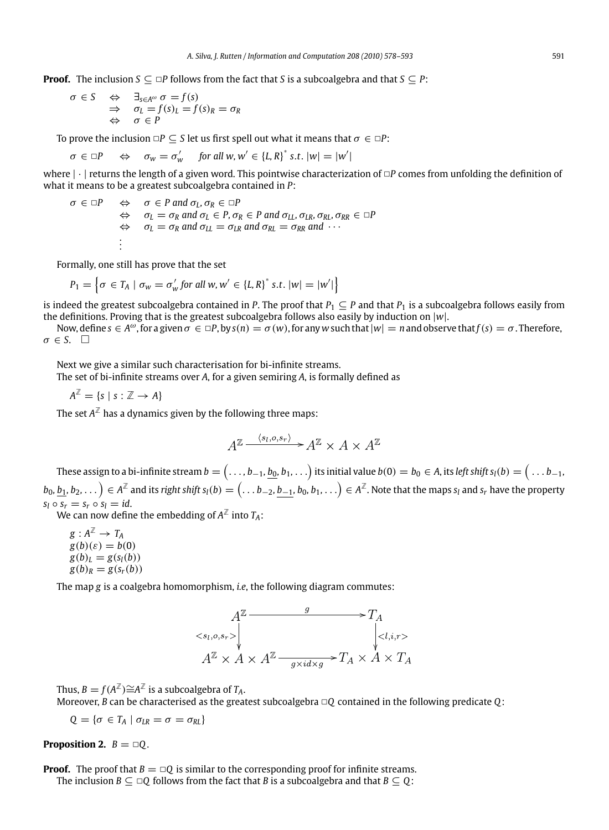**Proof.** The inclusion  $S \subseteq P$  follows from the fact that *S* is a subcoalgebra and that  $S \subseteq P$ :

$$
\begin{array}{rcl}\n\sigma \in S & \Leftrightarrow & \exists_{s \in A^{\omega}} \sigma = f(s) \\
\Rightarrow & \sigma_L = f(s)_L = f(s)_R = \sigma_R \\
\Leftrightarrow & \sigma \in P\n\end{array}
$$

To prove the inclusion  $\Box P \subseteq S$  let us first spell out what it means that  $\sigma \in \Box P$ :

$$
\sigma \in \Box P \quad \Leftrightarrow \quad \sigma_w = \sigma'_w \quad \text{ for all } w, w' \in \{L, R\}^* \text{ s.t. } |w| = |w'|
$$

where  $|\cdot|$  returns the length of a given word. This pointwise characterization of  $\Box P$  comes from unfolding the definition of what it means to be a greatest subcoalgebra contained in *P*:

 $\sigma \in \Box P$   $\Leftrightarrow$   $\sigma \in P$  and  $\sigma_L$ ,  $\sigma_R \in \Box P$  $\Leftrightarrow$   $\sigma_L = \sigma_R$  and  $\sigma_L \in P$ ,  $\sigma_R \in P$  and  $\sigma_{LL}$ ,  $\sigma_{LR}$ ,  $\sigma_{RL}$ ,  $\sigma_{RR} \in \Box P$  $\Leftrightarrow$   $\sigma_L = \sigma_R$  and  $\sigma_{LL} = \sigma_{LR}$  and  $\sigma_{RL} = \sigma_{RR}$  and  $\cdots$ . . .

Formally, one still has prove that the set

$$
P_1 = \left\{ \sigma \in T_A \mid \sigma_w = \sigma'_w \text{ for all } w, w' \in \left\{ L, R \right\}^* \text{ s.t. } |w| = |w'| \right\}
$$

is indeed the greatest subcoalgebra contained in *P*. The proof that  $P_1 \subseteq P$  and that  $P_1$  is a subcoalgebra follows easily from the definitions. Proving that is the greatest subcoalgebra follows also easily by induction on |*w*|.

Now, define  $s \in A^{\omega}$ , for a given  $\sigma \in \Box P$ , by  $s(n) = \sigma(w)$ , for any w such that  $|w| = n$  and observe that  $f(s) = \sigma$ . Therefore,  $\sigma \in S$ .  $\square$ 

Next we give a similar such characterisation for bi-infinite streams.

The set of bi-infinite streams over *A*, for a given semiring *A*, is formally defined as

 $A^{\mathbb{Z}} = \{s \mid s : \mathbb{Z} \to A\}$ 

The set  $A^{\mathbb{Z}}$  has a dynamics given by the following three maps:

$$
A^{\mathbb{Z}} \xrightarrow{\langle s_l, o, s_r \rangle} A^{\mathbb{Z}} \times A \times A^{\mathbb{Z}}
$$

These assign to a bi-infinite stream  $b=(\ldots,b_{-1},b_0,b_1,\ldots)$  its initial value  $b(0)=b_0\in A$ , its left shift s<sub>l</sub>(b)  $=\big(\ldots b_{-1},b_0,b_1,\ldots)$  $(b_0,b_1,b_2,\dots)\in A^\mathbb{Z}$  and its right shift  $s_l(b)=\big(\dots b_{-2},b_{-1},b_0,b_1,\dots\big)\in A^\mathbb{Z}.$  Note that the maps  $s_l$  and  $s_r$  have the property  $s_l \circ s_r = s_r \circ s_l = id$ .

We can now define the embedding of  $A^{\mathbb{Z}}$  into  $T_A$ :

 $g: A^{\mathbb{Z}} \to T_A$  $g(b)(\varepsilon) = b(0)$  $g(b)_{L} = g(s_{l}(b))$  $g(b)_R = g(s_r(b))$ 

The map *g* is a coalgebra homomorphism, *i.e*, the following diagram commutes:

$$
A^{\mathbb{Z}} \xrightarrow{\qquad \qquad g \qquad \qquad } T_A
$$
  

$$
\langle s_l, o, s_r \rangle \downarrow \qquad \qquad \downarrow \langle l, i, r \rangle
$$
  

$$
A^{\mathbb{Z}} \times A \times A^{\mathbb{Z}} \xrightarrow{\qquad \qquad g \times id \times g \qquad} T_A \times A \times T_A
$$

Thus,  $B = f(A^{\mathbb{Z}}) \cong A^{\mathbb{Z}}$  is a subcoalgebra of  $T_A$ .

Moreover, *B* can be characterised as the greatest subcoalgebra ✷*Q* contained in the following predicate *Q*:

$$
Q = \{ \sigma \in T_A \mid \sigma_{LR} = \sigma = \sigma_{RL} \}
$$

**Proposition 2.**  $B = \Box Q$ .

**Proof.** The proof that  $B = \Box Q$  is similar to the corresponding proof for infinite streams. The inclusion  $B \subseteq \Box Q$  follows from the fact that *B* is a subcoalgebra and that  $B \subseteq Q$ :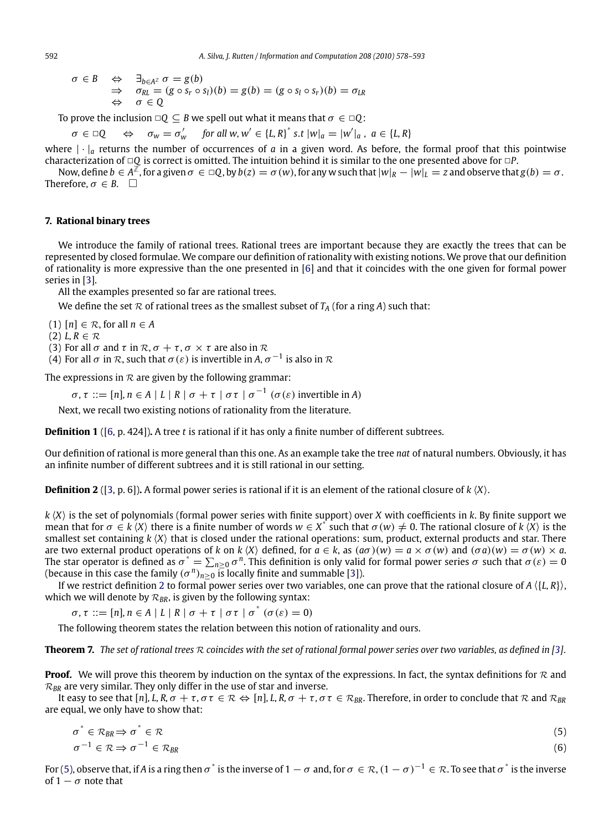$$
\begin{array}{rcl}\n\sigma \in B & \Leftrightarrow & \exists_{b \in A^{\mathbb{Z}}} \sigma = g(b) \\
\Rightarrow & \sigma_{RL} = (g \circ s_r \circ s_l)(b) = g(b) = (g \circ s_l \circ s_r)(b) = \sigma_{LR} \\
\Leftrightarrow & \sigma \in \mathbb{Q}\n\end{array}
$$

To prove the inclusion  $\Box Q \subseteq B$  we spell out what it means that  $\sigma \in \Box Q$ :

 $\sigma \in \Box Q \quad \Leftrightarrow \quad \sigma_w = \sigma'_w \quad \text{ for all } w, w' \in {\lbrace L, R \rbrace}^* \text{ s.t } |w|_a = |w'|_a, \ a \in {\lbrace L, R \rbrace}$ 

where  $|\cdot|_a$  returns the number of occurrences of *a* in a given word. As before, the formal proof that this pointwise characterization of □*Q* is correct is omitted. The intuition behind it is similar to the one presented above for □*P*.

Now, define  $b \in A^{\mathbb{Z}}$ , for a given  $\sigma \in \mathbb{Q}$ , by  $b(z) = \sigma(w)$ , for any w such that  $|w|_R - |w|_L = z$  and observe that  $g(b) = \sigma$ . Therefore,  $\sigma \in B$ .  $\Box$ 

#### **7. Rational binary trees**

We introduce the family of rational trees. Rational trees are important because they are exactly the trees that can be represented by closed formulae. We compare our definition of rationality with existing notions. We prove that our definition of rationality is more expressive than the one presented in [\[6\]](#page-15-0) and that it coincides with the one given for formal power series in [\[3\]](#page-15-0).

All the examples presented so far are rational trees.

We define the set  $R$  of rational trees as the smallest subset of  $T_A$  (for a ring *A*) such that:

 $(1)$   $[n] \in \mathcal{R}$ , for all  $n \in A$ 

 $(2) L, R \in \mathcal{R}$ 

(3) For all  $\sigma$  and  $\tau$  in  $\mathcal{R}, \sigma + \tau, \sigma \times \tau$  are also in  $\mathcal{R}$ 

(4) For all  $\sigma$  in  $\mathcal R$ , such that  $\sigma(\varepsilon)$  is invertible in A,  $\sigma^{-1}$  is also in  $\mathcal R$ 

The expressions in  $R$  are given by the following grammar:

 $\sigma, \tau ::= [n], n \in A \mid L \mid R \mid \sigma + \tau \mid \sigma \tau \mid \sigma^{-1} (\sigma(\varepsilon))$  invertible in *A*)

Next, we recall two existing notions of rationality from the literature.

**Definition 1** ([\[6,](#page-15-0) p. 424])**.** A tree *t* is rational if it has only a finite number of different subtrees.

Our definition of rational is more general than this one. As an example take the tree *nat* of natural numbers. Obviously, it has an infinite number of different subtrees and it is still rational in our setting.

**Definition 2** ([\[3,](#page-15-0) p. 6]). A formal power series is rational if it is an element of the rational closure of  $k \langle X \rangle$ .

*k X* is the set of polynomials (formal power series with finite support) over *X* with coefficients in *k*. By finite support we mean that for  $\sigma \in k \langle X \rangle$  there is a finite number of words  $w \in X^*$  such that  $\sigma(w) \neq 0$ . The rational closure of  $k \langle X \rangle$  is the smallest set containing  $k \langle X \rangle$  that is closed under the rational operations: sum, product, external products and star. There are two external product operations of *k* on *k*  $\langle X \rangle$  defined, for  $a \in k$ , as  $(a\sigma)(w) = a \times \sigma(w)$  and  $(\sigma a)(w) = \sigma(w) \times a$ . The star operator is defined as  $\sigma^*=\sum_{n\geq 0}\sigma^n.$  This definition is only valid for formal power series  $\sigma$  such that  $\sigma(\varepsilon)=0$ (because in this case the family  $(\sigma^n)_{n\geq 0}$  is locally finite and summable [\[3\]](#page-15-0)).

If we restrict definition 2 to formal power series over two variables, one can prove that the rational closure of  $A \langle \{L, R\} \rangle$ , which we will denote by  $\mathcal{R}_{BR}$ , is given by the following syntax:

 $\sigma, \tau ::= [n], n \in A \mid L \mid R \mid \sigma + \tau \mid \sigma \tau \mid \sigma^* (\sigma(\varepsilon) = 0)$ 

The following theorem states the relation between this notion of rationality and ours.

**Theorem 7.** *The set of rational trees* <sup>R</sup> *coincides with the set of rational formal power series over two variables, as defined in [\[3\]](#page-15-0)*.

**Proof.** We will prove this theorem by induction on the syntax of the expressions. In fact, the syntax definitions for  $\mathcal{R}$  and  $\mathcal{R}_{BR}$  are very similar. They only differ in the use of star and inverse.

It easy to see that  $[n]$ , L, R,  $\sigma + \tau$ ,  $\sigma \tau \in \mathbb{R} \Leftrightarrow [n]$ , L, R,  $\sigma + \tau$ ,  $\sigma \tau \in \mathcal{R}_{BR}$ . Therefore, in order to conclude that  $\mathbb{R}$  and  $\mathcal{R}_{BR}$ are equal, we only have to show that:

$$
\sigma^* \in \mathcal{R}_{BR} \Rightarrow \sigma^* \in \mathcal{R} \tag{5}
$$
\n
$$
\sigma^{-1} \in \mathcal{R} \Rightarrow \sigma^{-1} \in \mathcal{R}_{BR} \tag{6}
$$

For (5), observe that, if *A* is a ring then  $\sigma^*$  is the inverse of  $1 - \sigma$  and, for  $\sigma \in \mathcal{R}$ ,  $(1 - \sigma)^{-1} \in \mathcal{R}$ . To see that  $\sigma^*$  is the inverse of  $1 - \sigma$  note that

<span id="page-14-0"></span>